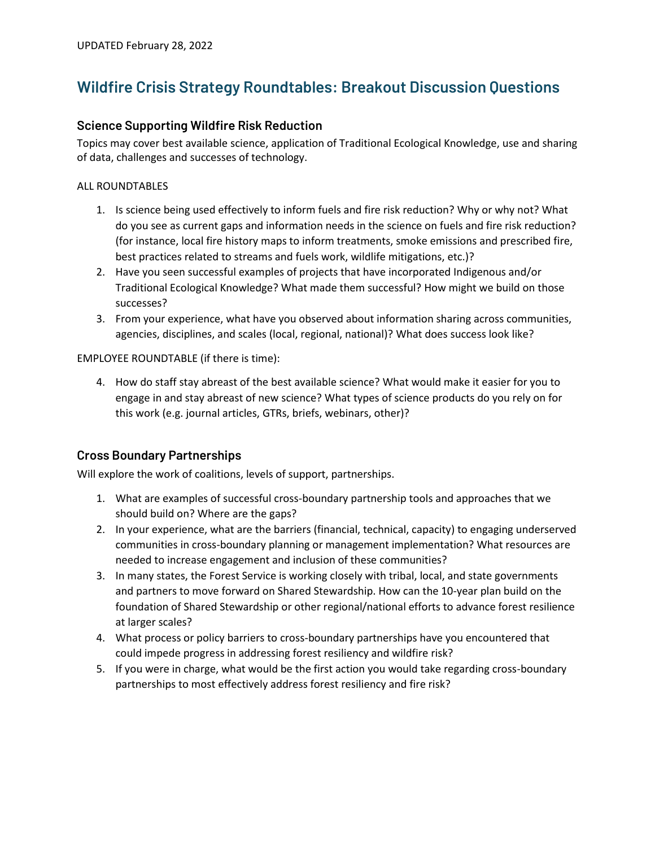# **Wildfire Crisis Strategy Roundtables: Breakout Discussion Questions**

#### **Science Supporting Wildfire Risk Reduction**

Topics may cover best available science, application of Traditional Ecological Knowledge, use and sharing of data, challenges and successes of technology.

#### ALL ROUNDTABLES

- 1. Is science being used effectively to inform fuels and fire risk reduction? Why or why not? What do you see as current gaps and information needs in the science on fuels and fire risk reduction? (for instance, local fire history maps to inform treatments, smoke emissions and prescribed fire, best practices related to streams and fuels work, wildlife mitigations, etc.)?
- 2. Have you seen successful examples of projects that have incorporated Indigenous and/or Traditional Ecological Knowledge? What made them successful? How might we build on those successes?
- 3. From your experience, what have you observed about information sharing across communities, agencies, disciplines, and scales (local, regional, national)? What does success look like?

EMPLOYEE ROUNDTABLE (if there is time):

4. How do staff stay abreast of the best available science? What would make it easier for you to engage in and stay abreast of new science? What types of science products do you rely on for this work (e.g. journal articles, GTRs, briefs, webinars, other)?

## **Cross Boundary Partnerships**

Will explore the work of coalitions, levels of support, partnerships.

- 1. What are examples of successful cross-boundary partnership tools and approaches that we should build on? Where are the gaps?
- 2. In your experience, what are the barriers (financial, technical, capacity) to engaging underserved communities in cross-boundary planning or management implementation? What resources are needed to increase engagement and inclusion of these communities?
- 3. In many states, the Forest Service is working closely with tribal, local, and state governments and partners to move forward on Shared Stewardship. How can the 10-year plan build on the foundation of Shared Stewardship or other regional/national efforts to advance forest resilience at larger scales?
- 4. What process or policy barriers to cross-boundary partnerships have you encountered that could impede progress in addressing forest resiliency and wildfire risk?
- 5. If you were in charge, what would be the first action you would take regarding cross-boundary partnerships to most effectively address forest resiliency and fire risk?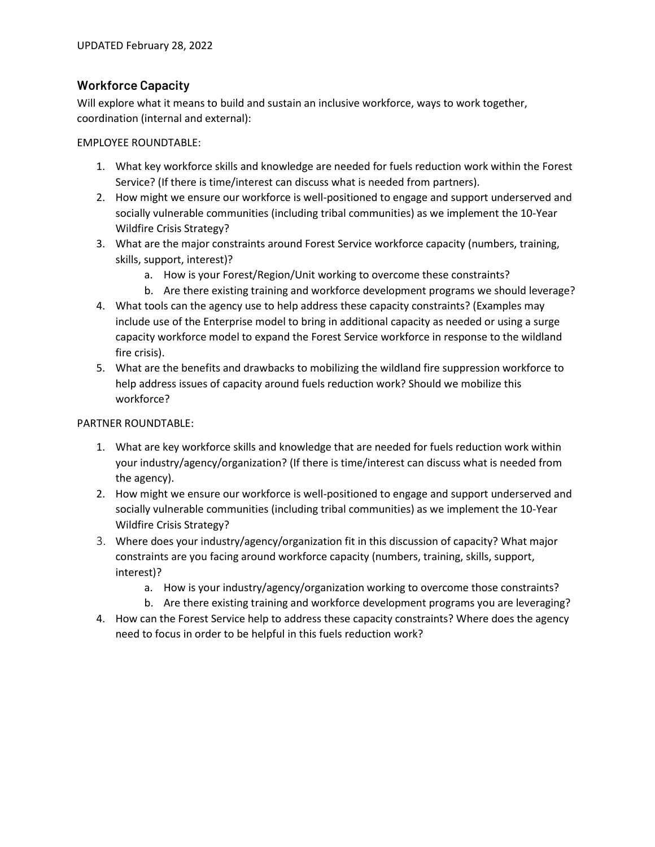### **Workforce Capacity**

Will explore what it means to build and sustain an inclusive workforce, ways to work together, coordination (internal and external):

EMPLOYEE ROUNDTABLE:

- 1. What key workforce skills and knowledge are needed for fuels reduction work within the Forest Service? (If there is time/interest can discuss what is needed from partners).
- 2. How might we ensure our workforce is well-positioned to engage and support underserved and socially vulnerable communities (including tribal communities) as we implement the 10-Year Wildfire Crisis Strategy?
- 3. What are the major constraints around Forest Service workforce capacity (numbers, training, skills, support, interest)?
	- a. How is your Forest/Region/Unit working to overcome these constraints?
	- b. Are there existing training and workforce development programs we should leverage?
- 4. What tools can the agency use to help address these capacity constraints? (Examples may include use of the Enterprise model to bring in additional capacity as needed or using a surge capacity workforce model to expand the Forest Service workforce in response to the wildland fire crisis).
- 5. What are the benefits and drawbacks to mobilizing the wildland fire suppression workforce to help address issues of capacity around fuels reduction work? Should we mobilize this workforce?

#### PARTNER ROUNDTABLE:

- 1. What are key workforce skills and knowledge that are needed for fuels reduction work within your industry/agency/organization? (If there is time/interest can discuss what is needed from the agency).
- 2. How might we ensure our workforce is well-positioned to engage and support underserved and socially vulnerable communities (including tribal communities) as we implement the 10-Year Wildfire Crisis Strategy?
- 3. Where does your industry/agency/organization fit in this discussion of capacity? What major constraints are you facing around workforce capacity (numbers, training, skills, support, interest)?
	- a. How is your industry/agency/organization working to overcome those constraints?
	- b. Are there existing training and workforce development programs you are leveraging?
- 4. How can the Forest Service help to address these capacity constraints? Where does the agency need to focus in order to be helpful in this fuels reduction work?